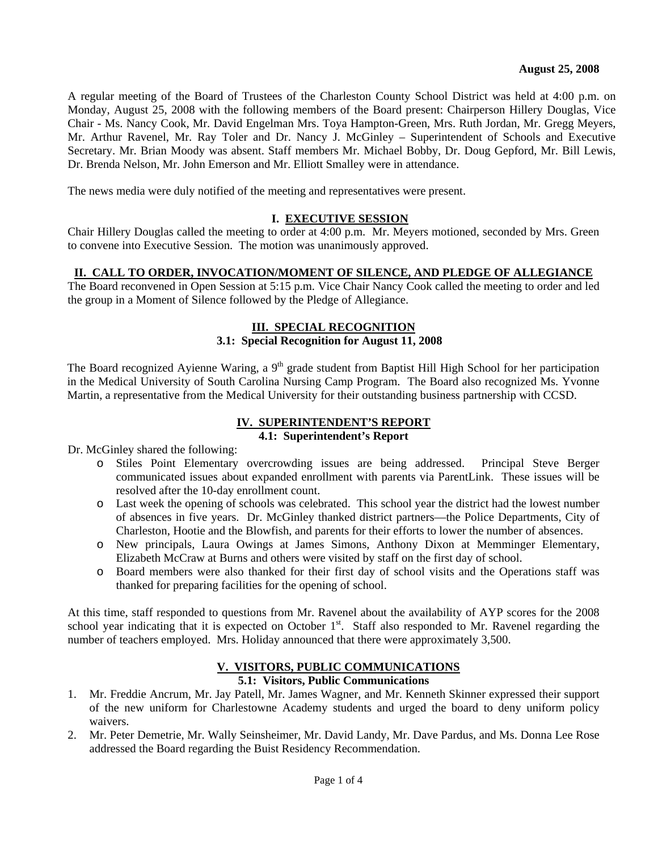A regular meeting of the Board of Trustees of the Charleston County School District was held at 4:00 p.m. on Monday, August 25, 2008 with the following members of the Board present: Chairperson Hillery Douglas, Vice Chair - Ms. Nancy Cook, Mr. David Engelman Mrs. Toya Hampton-Green, Mrs. Ruth Jordan, Mr. Gregg Meyers, Mr. Arthur Ravenel, Mr. Ray Toler and Dr. Nancy J. McGinley – Superintendent of Schools and Executive Secretary. Mr. Brian Moody was absent. Staff members Mr. Michael Bobby, Dr. Doug Gepford, Mr. Bill Lewis, Dr. Brenda Nelson, Mr. John Emerson and Mr. Elliott Smalley were in attendance.

The news media were duly notified of the meeting and representatives were present.

# **I. EXECUTIVE SESSION**

Chair Hillery Douglas called the meeting to order at 4:00 p.m. Mr. Meyers motioned, seconded by Mrs. Green to convene into Executive Session. The motion was unanimously approved.

### **II. CALL TO ORDER, INVOCATION/MOMENT OF SILENCE, AND PLEDGE OF ALLEGIANCE**

The Board reconvened in Open Session at 5:15 p.m. Vice Chair Nancy Cook called the meeting to order and led the group in a Moment of Silence followed by the Pledge of Allegiance.

# **III. SPECIAL RECOGNITION**

# **3.1: Special Recognition for August 11, 2008**

The Board recognized Ayienne Waring, a 9<sup>th</sup> grade student from Baptist Hill High School for her participation in the Medical University of South Carolina Nursing Camp Program. The Board also recognized Ms. Yvonne Martin, a representative from the Medical University for their outstanding business partnership with CCSD.

# **IV. SUPERINTENDENT'S REPORT**

# **4.1: Superintendent's Report**

Dr. McGinley shared the following:

- o Stiles Point Elementary overcrowding issues are being addressed. Principal Steve Berger communicated issues about expanded enrollment with parents via ParentLink. These issues will be resolved after the 10-day enrollment count.
- o Last week the opening of schools was celebrated. This school year the district had the lowest number of absences in five years. Dr. McGinley thanked district partners—the Police Departments, City of Charleston, Hootie and the Blowfish, and parents for their efforts to lower the number of absences.
- o New principals, Laura Owings at James Simons, Anthony Dixon at Memminger Elementary, Elizabeth McCraw at Burns and others were visited by staff on the first day of school.
- o Board members were also thanked for their first day of school visits and the Operations staff was thanked for preparing facilities for the opening of school.

At this time, staff responded to questions from Mr. Ravenel about the availability of AYP scores for the 2008 school year indicating that it is expected on October  $1<sup>st</sup>$ . Staff also responded to Mr. Ravenel regarding the number of teachers employed. Mrs. Holiday announced that there were approximately 3,500.

#### **V. VISITORS, PUBLIC COMMUNICATIONS 5.1: Visitors, Public Communications**

- 1. Mr. Freddie Ancrum, Mr. Jay Patell, Mr. James Wagner, and Mr. Kenneth Skinner expressed their support of the new uniform for Charlestowne Academy students and urged the board to deny uniform policy waivers.
- 2. Mr. Peter Demetrie, Mr. Wally Seinsheimer, Mr. David Landy, Mr. Dave Pardus, and Ms. Donna Lee Rose addressed the Board regarding the Buist Residency Recommendation.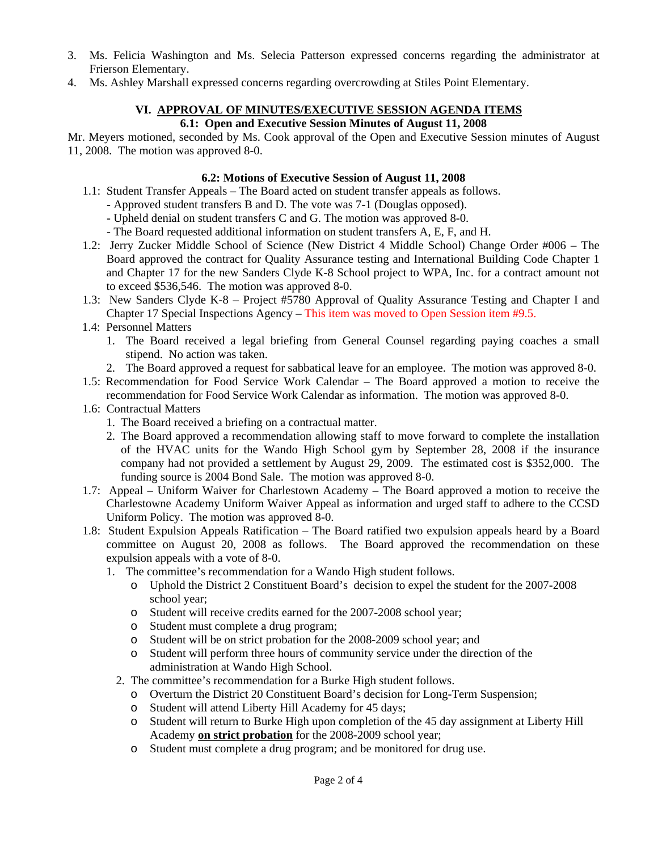- 3. Ms. Felicia Washington and Ms. Selecia Patterson expressed concerns regarding the administrator at Frierson Elementary.
- 4. Ms. Ashley Marshall expressed concerns regarding overcrowding at Stiles Point Elementary.

# **VI. APPROVAL OF MINUTES/EXECUTIVE SESSION AGENDA ITEMS**

# **6.1: Open and Executive Session Minutes of August 11, 2008**

Mr. Meyers motioned, seconded by Ms. Cook approval of the Open and Executive Session minutes of August 11, 2008. The motion was approved 8-0.

# **6.2: Motions of Executive Session of August 11, 2008**

- 1.1: Student Transfer Appeals The Board acted on student transfer appeals as follows. - Approved student transfers B and D. The vote was 7-1 (Douglas opposed).
	- Upheld denial on student transfers C and G. The motion was approved 8-0.
	- The Board requested additional information on student transfers A, E, F, and H.
- 1.2: Jerry Zucker Middle School of Science (New District 4 Middle School) Change Order #006 The Board approved the contract for Quality Assurance testing and International Building Code Chapter 1 and Chapter 17 for the new Sanders Clyde K-8 School project to WPA, Inc. for a contract amount not to exceed \$536,546. The motion was approved 8-0.
- 1.3: New Sanders Clyde K-8 Project #5780 Approval of Quality Assurance Testing and Chapter I and Chapter 17 Special Inspections Agency – This item was moved to Open Session item #9.5.
- 1.4: Personnel Matters
	- 1. The Board received a legal briefing from General Counsel regarding paying coaches a small stipend. No action was taken.
	- 2. The Board approved a request for sabbatical leave for an employee. The motion was approved 8-0.
- 1.5: Recommendation for Food Service Work Calendar The Board approved a motion to receive the recommendation for Food Service Work Calendar as information. The motion was approved 8-0.
- 1.6: Contractual Matters
	- 1. The Board received a briefing on a contractual matter.
	- 2. The Board approved a recommendation allowing staff to move forward to complete the installation of the HVAC units for the Wando High School gym by September 28, 2008 if the insurance company had not provided a settlement by August 29, 2009. The estimated cost is \$352,000. The funding source is 2004 Bond Sale. The motion was approved 8-0.
- 1.7: Appeal Uniform Waiver for Charlestown Academy The Board approved a motion to receive the Charlestowne Academy Uniform Waiver Appeal as information and urged staff to adhere to the CCSD Uniform Policy. The motion was approved 8-0.
- 1.8: Student Expulsion Appeals Ratification The Board ratified two expulsion appeals heard by a Board committee on August 20, 2008 as follows. The Board approved the recommendation on these expulsion appeals with a vote of 8-0.
	- 1. The committee's recommendation for a Wando High student follows.
		- o Uphold the District 2 Constituent Board's decision to expel the student for the 2007-2008 school year;
		- o Student will receive credits earned for the 2007-2008 school year;
		- o Student must complete a drug program;
		- o Student will be on strict probation for the 2008-2009 school year; and
		- o Student will perform three hours of community service under the direction of the administration at Wando High School.
		- 2. The committee's recommendation for a Burke High student follows.
			- o Overturn the District 20 Constituent Board's decision for Long-Term Suspension;
			- o Student will attend Liberty Hill Academy for 45 days;
			- o Student will return to Burke High upon completion of the 45 day assignment at Liberty Hill Academy **on strict probation** for the 2008-2009 school year;
			- o Student must complete a drug program; and be monitored for drug use.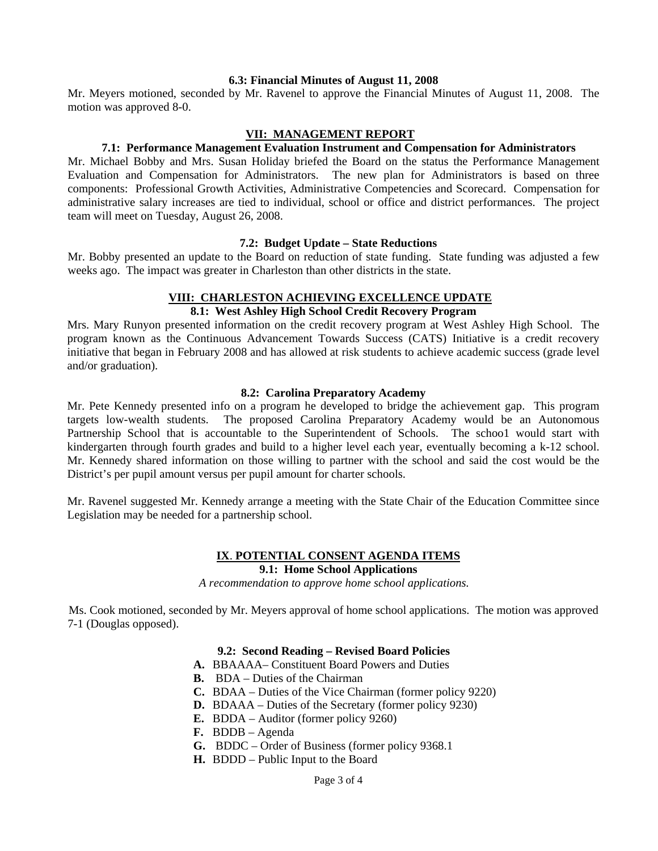#### **6.3: Financial Minutes of August 11, 2008**

Mr. Meyers motioned, seconded by Mr. Ravenel to approve the Financial Minutes of August 11, 2008. The motion was approved 8-0.

#### **VII: MANAGEMENT REPORT**

#### **7.1: Performance Management Evaluation Instrument and Compensation for Administrators**

Mr. Michael Bobby and Mrs. Susan Holiday briefed the Board on the status the Performance Management Evaluation and Compensation for Administrators. The new plan for Administrators is based on three components: Professional Growth Activities, Administrative Competencies and Scorecard. Compensation for administrative salary increases are tied to individual, school or office and district performances. The project team will meet on Tuesday, August 26, 2008.

#### **7.2: Budget Update – State Reductions**

Mr. Bobby presented an update to the Board on reduction of state funding. State funding was adjusted a few weeks ago. The impact was greater in Charleston than other districts in the state.

#### **VIII: CHARLESTON ACHIEVING EXCELLENCE UPDATE**

# **8.1: West Ashley High School Credit Recovery Program**

Mrs. Mary Runyon presented information on the credit recovery program at West Ashley High School. The program known as the Continuous Advancement Towards Success (CATS) Initiative is a credit recovery initiative that began in February 2008 and has allowed at risk students to achieve academic success (grade level and/or graduation).

#### **8.2: Carolina Preparatory Academy**

Mr. Pete Kennedy presented info on a program he developed to bridge the achievement gap. This program targets low-wealth students. The proposed Carolina Preparatory Academy would be an Autonomous Partnership School that is accountable to the Superintendent of Schools. The school would start with kindergarten through fourth grades and build to a higher level each year, eventually becoming a k-12 school. Mr. Kennedy shared information on those willing to partner with the school and said the cost would be the District's per pupil amount versus per pupil amount for charter schools.

Mr. Ravenel suggested Mr. Kennedy arrange a meeting with the State Chair of the Education Committee since Legislation may be needed for a partnership school.

#### **IX**. **POTENTIAL CONSENT AGENDA ITEMS 9.1: Home School Applications**

*A recommendation to approve home school applications.* 

Ms. Cook motioned, seconded by Mr. Meyers approval of home school applications. The motion was approved 7-1 (Douglas opposed).

#### **9.2: Second Reading – Revised Board Policies**

- **A.** BBAAAAConstituent Board Powers and Duties
- **B.** BDA Duties of the Chairman
- **C.** BDAA Duties of the Vice Chairman (former policy 9220)
- **D.** BDAAA Duties of the Secretary (former policy 9230)
- **E.** BDDA Auditor (former policy 9260)
- **F.** BDDB Agenda
- **G.** BDDC Order of Business (former policy 9368.1
- **H.** BDDD Public Input to the Board